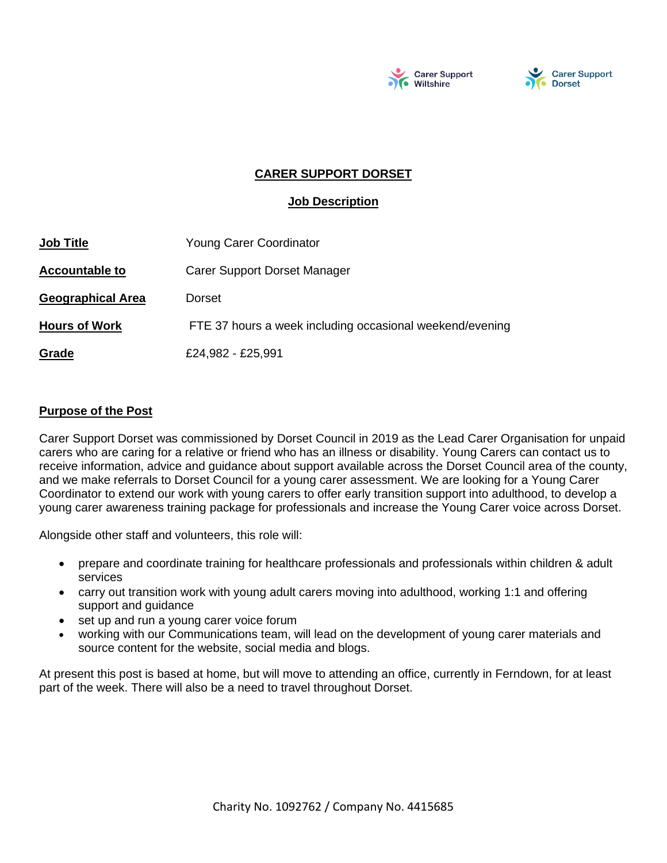



## **CARER SUPPORT DORSET**

### **Job Description**

| <b>Job Title</b>         | <b>Young Carer Coordinator</b>                           |
|--------------------------|----------------------------------------------------------|
| <b>Accountable to</b>    | <b>Carer Support Dorset Manager</b>                      |
| <b>Geographical Area</b> | Dorset                                                   |
| <b>Hours of Work</b>     | FTE 37 hours a week including occasional weekend/evening |
| Grade                    | £24,982 - £25,991                                        |

#### **Purpose of the Post**

Carer Support Dorset was commissioned by Dorset Council in 2019 as the Lead Carer Organisation for unpaid carers who are caring for a relative or friend who has an illness or disability. Young Carers can contact us to receive information, advice and guidance about support available across the Dorset Council area of the county, and we make referrals to Dorset Council for a young carer assessment. We are looking for a Young Carer Coordinator to extend our work with young carers to offer early transition support into adulthood, to develop a young carer awareness training package for professionals and increase the Young Carer voice across Dorset.

Alongside other staff and volunteers, this role will:

- prepare and coordinate training for healthcare professionals and professionals within children & adult services
- carry out transition work with young adult carers moving into adulthood, working 1:1 and offering support and guidance
- set up and run a young carer voice forum
- working with our Communications team, will lead on the development of young carer materials and source content for the website, social media and blogs.

At present this post is based at home, but will move to attending an office, currently in Ferndown, for at least part of the week. There will also be a need to travel throughout Dorset.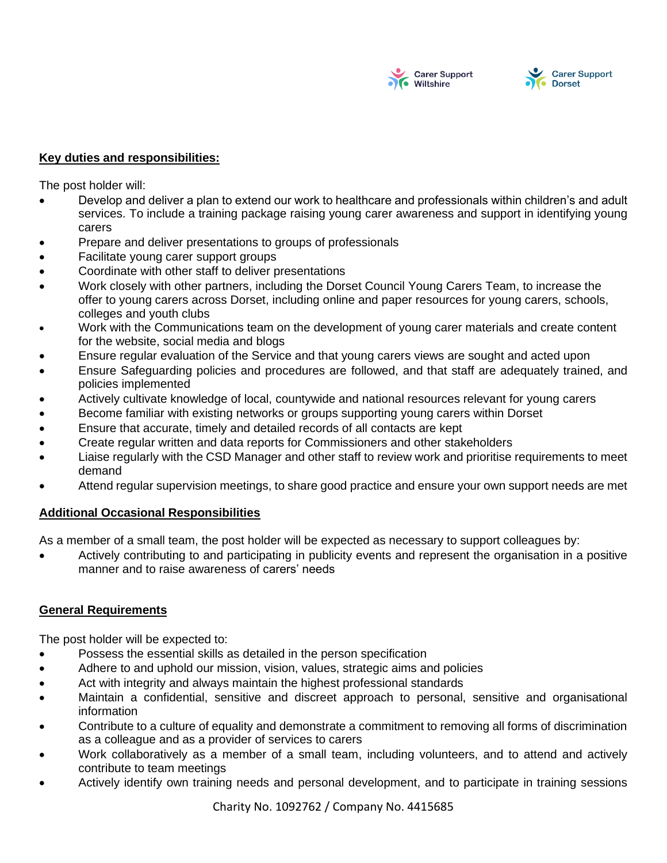



#### **Key duties and responsibilities:**

The post holder will:

- Develop and deliver a plan to extend our work to healthcare and professionals within children's and adult services. To include a training package raising young carer awareness and support in identifying young carers
- Prepare and deliver presentations to groups of professionals
- Facilitate young carer support groups
- Coordinate with other staff to deliver presentations
- Work closely with other partners, including the Dorset Council Young Carers Team, to increase the offer to young carers across Dorset, including online and paper resources for young carers, schools, colleges and youth clubs
- Work with the Communications team on the development of young carer materials and create content for the website, social media and blogs
- Ensure regular evaluation of the Service and that young carers views are sought and acted upon
- Ensure Safeguarding policies and procedures are followed, and that staff are adequately trained, and policies implemented
- Actively cultivate knowledge of local, countywide and national resources relevant for young carers
- Become familiar with existing networks or groups supporting young carers within Dorset
- Ensure that accurate, timely and detailed records of all contacts are kept
- Create regular written and data reports for Commissioners and other stakeholders
- Liaise regularly with the CSD Manager and other staff to review work and prioritise requirements to meet demand
- Attend regular supervision meetings, to share good practice and ensure your own support needs are met

#### **Additional Occasional Responsibilities**

As a member of a small team, the post holder will be expected as necessary to support colleagues by:

• Actively contributing to and participating in publicity events and represent the organisation in a positive manner and to raise awareness of carers' needs

#### **General Requirements**

The post holder will be expected to:

- Possess the essential skills as detailed in the person specification
- Adhere to and uphold our mission, vision, values, strategic aims and policies
- Act with integrity and always maintain the highest professional standards
- Maintain a confidential, sensitive and discreet approach to personal, sensitive and organisational information
- Contribute to a culture of equality and demonstrate a commitment to removing all forms of discrimination as a colleague and as a provider of services to carers
- Work collaboratively as a member of a small team, including volunteers, and to attend and actively contribute to team meetings
- Actively identify own training needs and personal development, and to participate in training sessions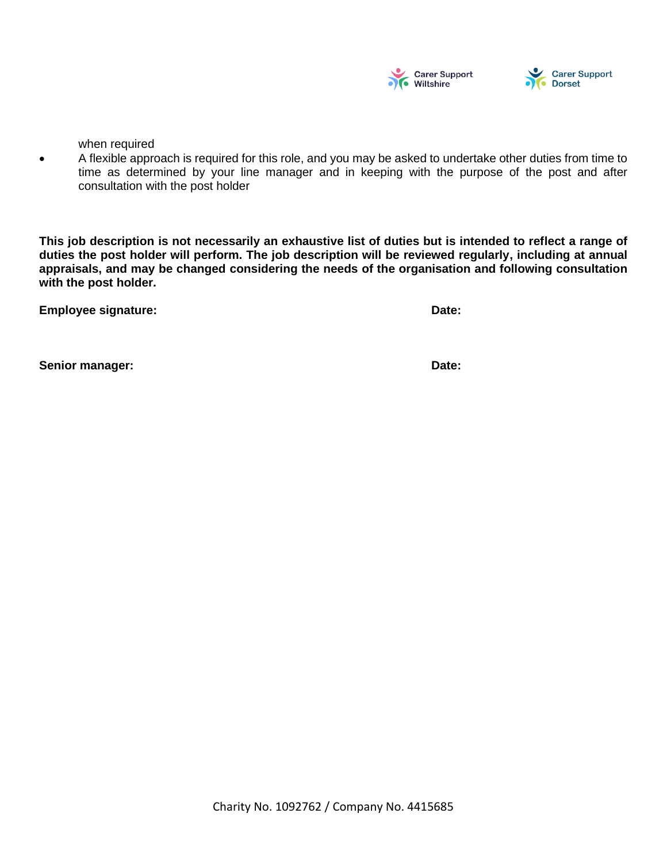



when required

• A flexible approach is required for this role, and you may be asked to undertake other duties from time to time as determined by your line manager and in keeping with the purpose of the post and after consultation with the post holder

**This job description is not necessarily an exhaustive list of duties but is intended to reflect a range of duties the post holder will perform. The job description will be reviewed regularly, including at annual appraisals, and may be changed considering the needs of the organisation and following consultation with the post holder.**

**Employee signature: Date: Date: Date: Date: Date: Date: Date: Date: Date: Date: Date: Date: Date: Date: Date: Date: Date: Date: Date: Date: Date: Date: Date: Date: Date:**

**Senior manager: Date:**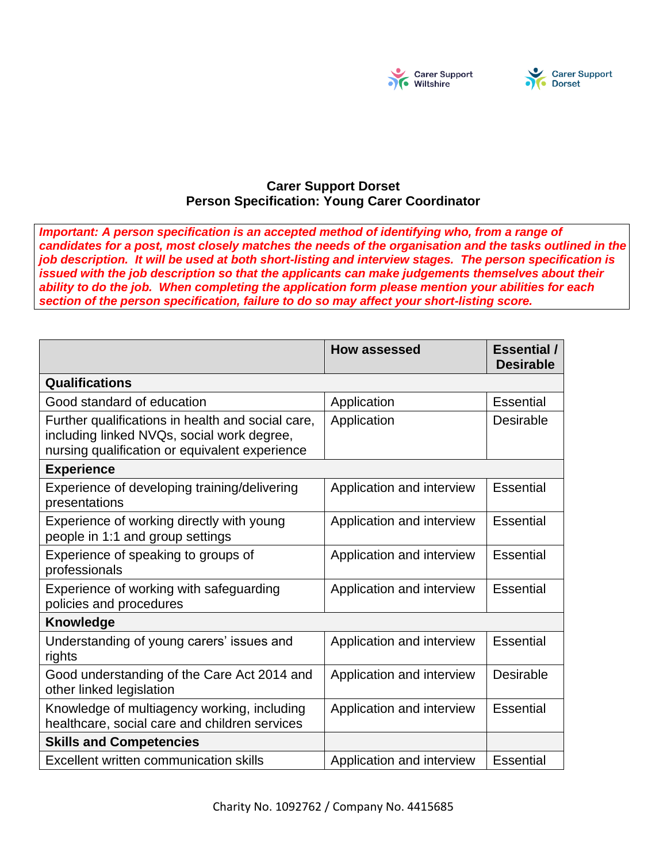

# **Carer Support Dorset Person Specification: Young Carer Coordinator**

*Important: A person specification is an accepted method of identifying who, from a range of candidates for a post, most closely matches the needs of the organisation and the tasks outlined in the job description. It will be used at both short-listing and interview stages. The person specification is issued with the job description so that the applicants can make judgements themselves about their ability to do the job. When completing the application form please mention your abilities for each section of the person specification, failure to do so may affect your short-listing score.* 

|                                                                                                                                                   | <b>How assessed</b>       | <b>Essential</b> /<br><b>Desirable</b> |  |  |
|---------------------------------------------------------------------------------------------------------------------------------------------------|---------------------------|----------------------------------------|--|--|
| <b>Qualifications</b>                                                                                                                             |                           |                                        |  |  |
| Good standard of education                                                                                                                        | Application               | Essential                              |  |  |
| Further qualifications in health and social care,<br>including linked NVQs, social work degree,<br>nursing qualification or equivalent experience | Application               | Desirable                              |  |  |
| <b>Experience</b>                                                                                                                                 |                           |                                        |  |  |
| Experience of developing training/delivering<br>presentations                                                                                     | Application and interview | <b>Essential</b>                       |  |  |
| Experience of working directly with young<br>people in 1:1 and group settings                                                                     | Application and interview | Essential                              |  |  |
| Experience of speaking to groups of<br>professionals                                                                                              | Application and interview | <b>Essential</b>                       |  |  |
| Experience of working with safeguarding<br>policies and procedures                                                                                | Application and interview | <b>Essential</b>                       |  |  |
| <b>Knowledge</b>                                                                                                                                  |                           |                                        |  |  |
| Understanding of young carers' issues and<br>rights                                                                                               | Application and interview | <b>Essential</b>                       |  |  |
| Good understanding of the Care Act 2014 and<br>other linked legislation                                                                           | Application and interview | <b>Desirable</b>                       |  |  |
| Knowledge of multiagency working, including<br>healthcare, social care and children services                                                      | Application and interview | Essential                              |  |  |
| <b>Skills and Competencies</b>                                                                                                                    |                           |                                        |  |  |
| <b>Excellent written communication skills</b>                                                                                                     | Application and interview | <b>Essential</b>                       |  |  |